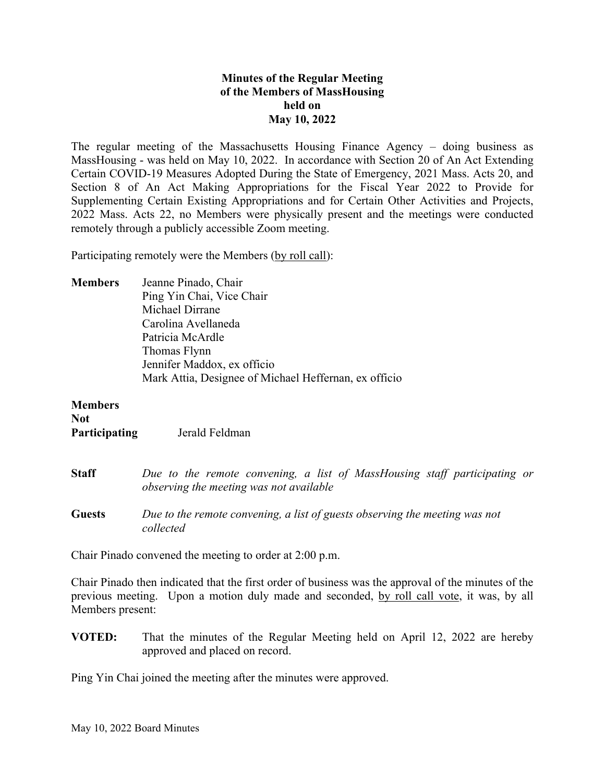## **Minutes of the Regular Meeting of the Members of MassHousing held on May 10, 2022**

The regular meeting of the Massachusetts Housing Finance Agency – doing business as MassHousing - was held on May 10, 2022. In accordance with Section 20 of An Act Extending Certain COVID-19 Measures Adopted During the State of Emergency, 2021 Mass. Acts 20, and Section 8 of An Act Making Appropriations for the Fiscal Year 2022 to Provide for Supplementing Certain Existing Appropriations and for Certain Other Activities and Projects, 2022 Mass. Acts 22, no Members were physically present and the meetings were conducted remotely through a publicly accessible Zoom meeting.

Participating remotely were the Members (by roll call):

**Members** Jeanne Pinado, Chair Ping Yin Chai, Vice Chair Michael Dirrane Carolina Avellaneda Patricia McArdle Thomas Flynn Jennifer Maddox, ex officio Mark Attia, Designee of Michael Heffernan, ex officio

| <b>Members</b><br>Not<br>Participating | Jerald Feldman                                                                                                       |
|----------------------------------------|----------------------------------------------------------------------------------------------------------------------|
| <b>Staff</b>                           | Due to the remote convening, a list of MassHousing staff participating or<br>observing the meeting was not available |
| <b>Guests</b>                          | Due to the remote convening, a list of guests observing the meeting was not<br>collected                             |

Chair Pinado convened the meeting to order at 2:00 p.m.

Chair Pinado then indicated that the first order of business was the approval of the minutes of the previous meeting. Upon a motion duly made and seconded, by roll call vote, it was, by all Members present:

**VOTED:** That the minutes of the Regular Meeting held on April 12, 2022 are hereby approved and placed on record.

Ping Yin Chai joined the meeting after the minutes were approved.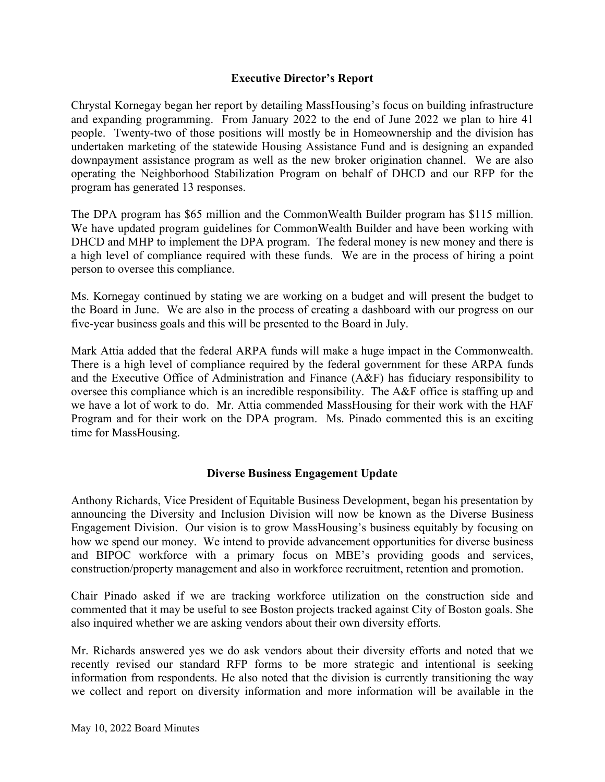## **Executive Director's Report**

Chrystal Kornegay began her report by detailing MassHousing's focus on building infrastructure and expanding programming. From January 2022 to the end of June 2022 we plan to hire 41 people. Twenty-two of those positions will mostly be in Homeownership and the division has undertaken marketing of the statewide Housing Assistance Fund and is designing an expanded downpayment assistance program as well as the new broker origination channel. We are also operating the Neighborhood Stabilization Program on behalf of DHCD and our RFP for the program has generated 13 responses.

The DPA program has \$65 million and the CommonWealth Builder program has \$115 million. We have updated program guidelines for CommonWealth Builder and have been working with DHCD and MHP to implement the DPA program. The federal money is new money and there is a high level of compliance required with these funds. We are in the process of hiring a point person to oversee this compliance.

Ms. Kornegay continued by stating we are working on a budget and will present the budget to the Board in June. We are also in the process of creating a dashboard with our progress on our five-year business goals and this will be presented to the Board in July.

Mark Attia added that the federal ARPA funds will make a huge impact in the Commonwealth. There is a high level of compliance required by the federal government for these ARPA funds and the Executive Office of Administration and Finance (A&F) has fiduciary responsibility to oversee this compliance which is an incredible responsibility. The A&F office is staffing up and we have a lot of work to do. Mr. Attia commended MassHousing for their work with the HAF Program and for their work on the DPA program. Ms. Pinado commented this is an exciting time for MassHousing.

# **Diverse Business Engagement Update**

Anthony Richards, Vice President of Equitable Business Development, began his presentation by announcing the Diversity and Inclusion Division will now be known as the Diverse Business Engagement Division. Our vision is to grow MassHousing's business equitably by focusing on how we spend our money. We intend to provide advancement opportunities for diverse business and BIPOC workforce with a primary focus on MBE's providing goods and services, construction/property management and also in workforce recruitment, retention and promotion.

Chair Pinado asked if we are tracking workforce utilization on the construction side and commented that it may be useful to see Boston projects tracked against City of Boston goals. She also inquired whether we are asking vendors about their own diversity efforts.

Mr. Richards answered yes we do ask vendors about their diversity efforts and noted that we recently revised our standard RFP forms to be more strategic and intentional is seeking information from respondents. He also noted that the division is currently transitioning the way we collect and report on diversity information and more information will be available in the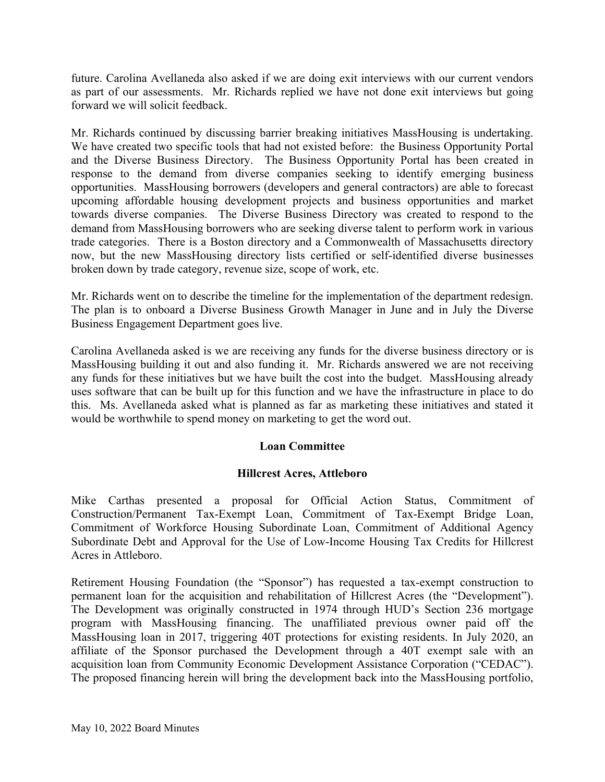future. Carolina Avellaneda also asked if we are doing exit interviews with our current vendors as part of our assessments. Mr. Richards replied we have not done exit interviews but going forward we will solicit feedback.

Mr. Richards continued by discussing barrier breaking initiatives MassHousing is undertaking. We have created two specific tools that had not existed before: the Business Opportunity Portal and the Diverse Business Directory. The Business Opportunity Portal has been created in response to the demand from diverse companies seeking to identify emerging business opportunities. MassHousing borrowers (developers and general contractors) are able to forecast upcoming affordable housing development projects and business opportunities and market towards diverse companies. The Diverse Business Directory was created to respond to the demand from MassHousing borrowers who are seeking diverse talent to perform work in various trade categories. There is a Boston directory and a Commonwealth of Massachusetts directory now, but the new MassHousing directory lists certified or self-identified diverse businesses broken down by trade category, revenue size, scope of work, etc.

Mr. Richards went on to describe the timeline for the implementation of the department redesign. The plan is to onboard a Diverse Business Growth Manager in June and in July the Diverse Business Engagement Department goes live.

Carolina Avellaneda asked is we are receiving any funds for the diverse business directory or is MassHousing building it out and also funding it. Mr. Richards answered we are not receiving any funds for these initiatives but we have built the cost into the budget. MassHousing already uses software that can be built up for this function and we have the infrastructure in place to do this. Ms. Avellaneda asked what is planned as far as marketing these initiatives and stated it would be worthwhile to spend money on marketing to get the word out.

# **Loan Committee**

# **Hillcrest Acres, Attleboro**

Mike Carthas presented a proposal for Official Action Status, Commitment of Construction/Permanent Tax-Exempt Loan, Commitment of Tax-Exempt Bridge Loan, Commitment of Workforce Housing Subordinate Loan, Commitment of Additional Agency Subordinate Debt and Approval for the Use of Low-Income Housing Tax Credits for Hillcrest Acres in Attleboro.

Retirement Housing Foundation (the "Sponsor") has requested a tax-exempt construction to permanent loan for the acquisition and rehabilitation of Hillcrest Acres (the "Development"). The Development was originally constructed in 1974 through HUD's Section 236 mortgage program with MassHousing financing. The unaffiliated previous owner paid off the MassHousing loan in 2017, triggering 40T protections for existing residents. In July 2020, an affiliate of the Sponsor purchased the Development through a 40T exempt sale with an acquisition loan from Community Economic Development Assistance Corporation ("CEDAC"). The proposed financing herein will bring the development back into the MassHousing portfolio,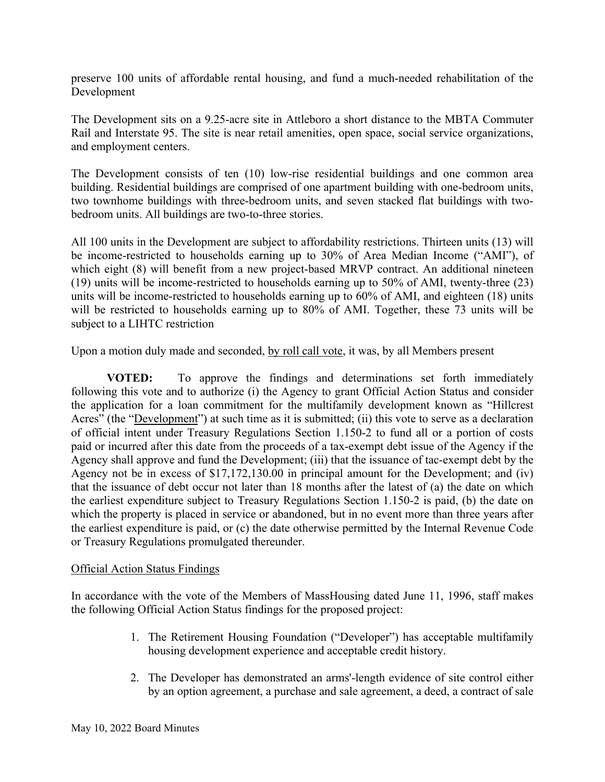preserve 100 units of affordable rental housing, and fund a much-needed rehabilitation of the Development

The Development sits on a 9.25-acre site in Attleboro a short distance to the MBTA Commuter Rail and Interstate 95. The site is near retail amenities, open space, social service organizations, and employment centers.

The Development consists of ten (10) low-rise residential buildings and one common area building. Residential buildings are comprised of one apartment building with one-bedroom units, two townhome buildings with three-bedroom units, and seven stacked flat buildings with twobedroom units. All buildings are two-to-three stories.

All 100 units in the Development are subject to affordability restrictions. Thirteen units (13) will be income-restricted to households earning up to 30% of Area Median Income ("AMI"), of which eight (8) will benefit from a new project-based MRVP contract. An additional nineteen (19) units will be income-restricted to households earning up to 50% of AMI, twenty-three (23) units will be income-restricted to households earning up to 60% of AMI, and eighteen (18) units will be restricted to households earning up to 80% of AMI. Together, these 73 units will be subject to a LIHTC restriction

Upon a motion duly made and seconded, by roll call vote, it was, by all Members present

**VOTED:** To approve the findings and determinations set forth immediately following this vote and to authorize (i) the Agency to grant Official Action Status and consider the application for a loan commitment for the multifamily development known as "Hillcrest Acres" (the "Development") at such time as it is submitted; (ii) this vote to serve as a declaration of official intent under Treasury Regulations Section 1.150-2 to fund all or a portion of costs paid or incurred after this date from the proceeds of a tax-exempt debt issue of the Agency if the Agency shall approve and fund the Development; (iii) that the issuance of tac-exempt debt by the Agency not be in excess of \$17,172,130.00 in principal amount for the Development; and (iv) that the issuance of debt occur not later than 18 months after the latest of (a) the date on which the earliest expenditure subject to Treasury Regulations Section 1.150-2 is paid, (b) the date on which the property is placed in service or abandoned, but in no event more than three years after the earliest expenditure is paid, or (c) the date otherwise permitted by the Internal Revenue Code or Treasury Regulations promulgated thereunder.

# Official Action Status Findings

In accordance with the vote of the Members of MassHousing dated June 11, 1996, staff makes the following Official Action Status findings for the proposed project:

- 1. The Retirement Housing Foundation ("Developer") has acceptable multifamily housing development experience and acceptable credit history.
- 2. The Developer has demonstrated an arms'-length evidence of site control either by an option agreement, a purchase and sale agreement, a deed, a contract of sale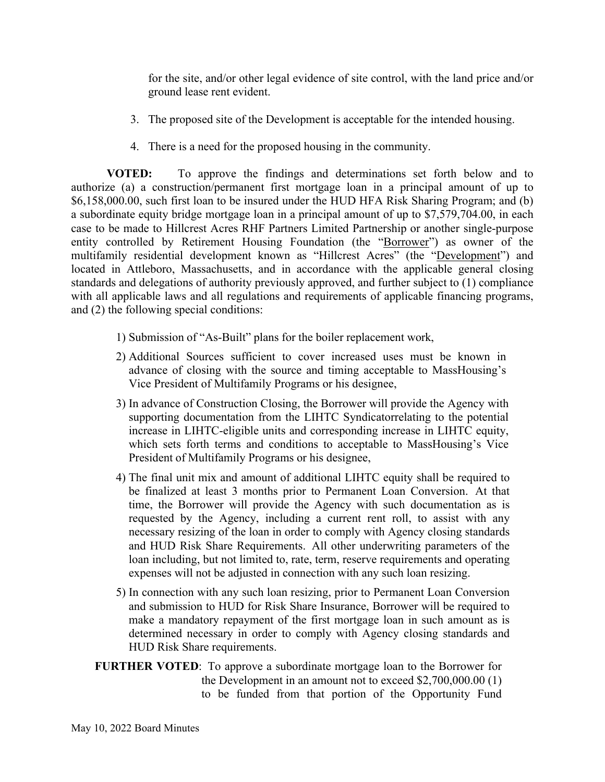for the site, and/or other legal evidence of site control, with the land price and/or ground lease rent evident.

- 3. The proposed site of the Development is acceptable for the intended housing.
- 4. There is a need for the proposed housing in the community.

**VOTED:** To approve the findings and determinations set forth below and to authorize (a) a construction/permanent first mortgage loan in a principal amount of up to \$6,158,000.00, such first loan to be insured under the HUD HFA Risk Sharing Program; and (b) a subordinate equity bridge mortgage loan in a principal amount of up to \$7,579,704.00, in each case to be made to Hillcrest Acres RHF Partners Limited Partnership or another single-purpose entity controlled by Retirement Housing Foundation (the "Borrower") as owner of the multifamily residential development known as "Hillcrest Acres" (the "Development") and located in Attleboro, Massachusetts, and in accordance with the applicable general closing standards and delegations of authority previously approved, and further subject to (1) compliance with all applicable laws and all regulations and requirements of applicable financing programs, and (2) the following special conditions:

- 1) Submission of "As-Built" plans for the boiler replacement work,
- 2) Additional Sources sufficient to cover increased uses must be known in advance of closing with the source and timing acceptable to MassHousing's Vice President of Multifamily Programs or his designee,
- 3) In advance of Construction Closing, the Borrower will provide the Agency with supporting documentation from the LIHTC Syndicatorrelating to the potential increase in LIHTC-eligible units and corresponding increase in LIHTC equity, which sets forth terms and conditions to acceptable to MassHousing's Vice President of Multifamily Programs or his designee,
- 4) The final unit mix and amount of additional LIHTC equity shall be required to be finalized at least 3 months prior to Permanent Loan Conversion. At that time, the Borrower will provide the Agency with such documentation as is requested by the Agency, including a current rent roll, to assist with any necessary resizing of the loan in order to comply with Agency closing standards and HUD Risk Share Requirements. All other underwriting parameters of the loan including, but not limited to, rate, term, reserve requirements and operating expenses will not be adjusted in connection with any such loan resizing.
- 5) In connection with any such loan resizing, prior to Permanent Loan Conversion and submission to HUD for Risk Share Insurance, Borrower will be required to make a mandatory repayment of the first mortgage loan in such amount as is determined necessary in order to comply with Agency closing standards and HUD Risk Share requirements.

# **FURTHER VOTED**: To approve a subordinate mortgage loan to the Borrower for the Development in an amount not to exceed \$2,700,000.00 (1) to be funded from that portion of the Opportunity Fund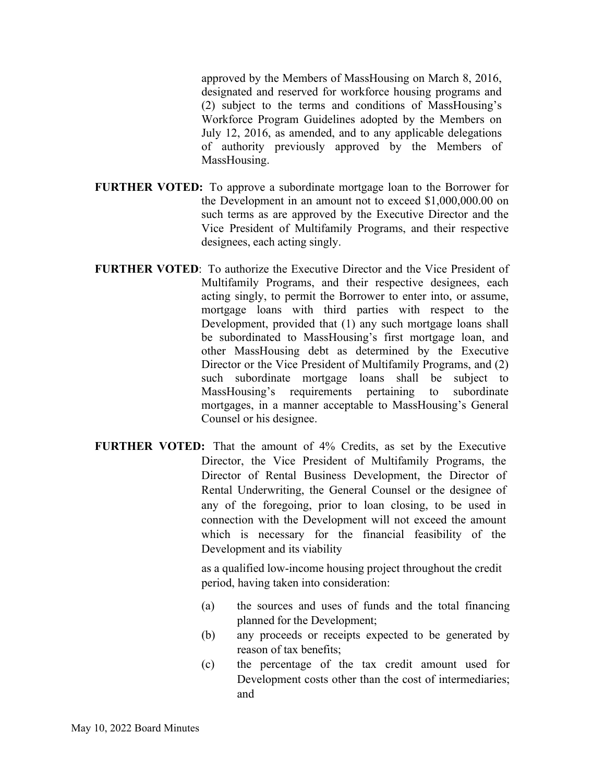approved by the Members of MassHousing on March 8, 2016, designated and reserved for workforce housing programs and (2) subject to the terms and conditions of MassHousing's Workforce Program Guidelines adopted by the Members on July 12, 2016, as amended, and to any applicable delegations of authority previously approved by the Members of MassHousing.

- **FURTHER VOTED:** To approve a subordinate mortgage loan to the Borrower for the Development in an amount not to exceed \$1,000,000.00 on such terms as are approved by the Executive Director and the Vice President of Multifamily Programs, and their respective designees, each acting singly.
- **FURTHER VOTED**: To authorize the Executive Director and the Vice President of Multifamily Programs, and their respective designees, each acting singly, to permit the Borrower to enter into, or assume, mortgage loans with third parties with respect to the Development, provided that (1) any such mortgage loans shall be subordinated to MassHousing's first mortgage loan, and other MassHousing debt as determined by the Executive Director or the Vice President of Multifamily Programs, and (2) such subordinate mortgage loans shall be subject to MassHousing's requirements pertaining to subordinate mortgages, in a manner acceptable to MassHousing's General Counsel or his designee.
- **FURTHER VOTED:** That the amount of 4% Credits, as set by the Executive Director, the Vice President of Multifamily Programs, the Director of Rental Business Development, the Director of Rental Underwriting, the General Counsel or the designee of any of the foregoing, prior to loan closing, to be used in connection with the Development will not exceed the amount which is necessary for the financial feasibility of the Development and its viability

as a qualified low-income housing project throughout the credit period, having taken into consideration:

- (a) the sources and uses of funds and the total financing planned for the Development;
- (b) any proceeds or receipts expected to be generated by reason of tax benefits;
- (c) the percentage of the tax credit amount used for Development costs other than the cost of intermediaries; and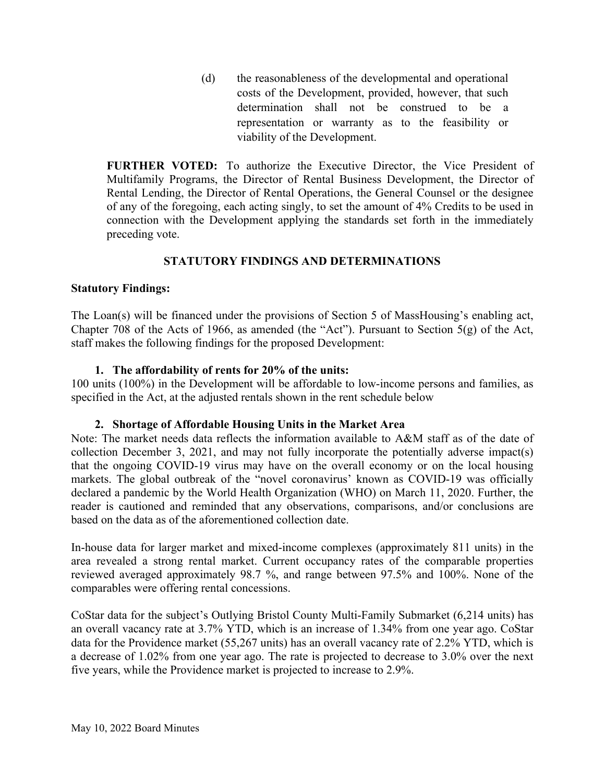(d) the reasonableness of the developmental and operational costs of the Development, provided, however, that such determination shall not be construed to be a representation or warranty as to the feasibility or viability of the Development.

**FURTHER VOTED:** To authorize the Executive Director, the Vice President of Multifamily Programs, the Director of Rental Business Development, the Director of Rental Lending, the Director of Rental Operations, the General Counsel or the designee of any of the foregoing, each acting singly, to set the amount of 4% Credits to be used in connection with the Development applying the standards set forth in the immediately preceding vote.

# **STATUTORY FINDINGS AND DETERMINATIONS**

# **Statutory Findings:**

The Loan(s) will be financed under the provisions of Section 5 of MassHousing's enabling act, Chapter 708 of the Acts of 1966, as amended (the "Act"). Pursuant to Section 5(g) of the Act, staff makes the following findings for the proposed Development:

## **1. The affordability of rents for 20% of the units:**

100 units (100%) in the Development will be affordable to low-income persons and families, as specified in the Act, at the adjusted rentals shown in the rent schedule below

#### **2. Shortage of Affordable Housing Units in the Market Area**

Note: The market needs data reflects the information available to A&M staff as of the date of collection December 3, 2021, and may not fully incorporate the potentially adverse impact(s) that the ongoing COVID-19 virus may have on the overall economy or on the local housing markets. The global outbreak of the "novel coronavirus' known as COVID-19 was officially declared a pandemic by the World Health Organization (WHO) on March 11, 2020. Further, the reader is cautioned and reminded that any observations, comparisons, and/or conclusions are based on the data as of the aforementioned collection date.

In-house data for larger market and mixed-income complexes (approximately 811 units) in the area revealed a strong rental market. Current occupancy rates of the comparable properties reviewed averaged approximately 98.7 %, and range between 97.5% and 100%. None of the comparables were offering rental concessions.

CoStar data for the subject's Outlying Bristol County Multi-Family Submarket (6,214 units) has an overall vacancy rate at 3.7% YTD, which is an increase of 1.34% from one year ago. CoStar data for the Providence market (55,267 units) has an overall vacancy rate of 2.2% YTD, which is a decrease of 1.02% from one year ago. The rate is projected to decrease to 3.0% over the next five years, while the Providence market is projected to increase to 2.9%.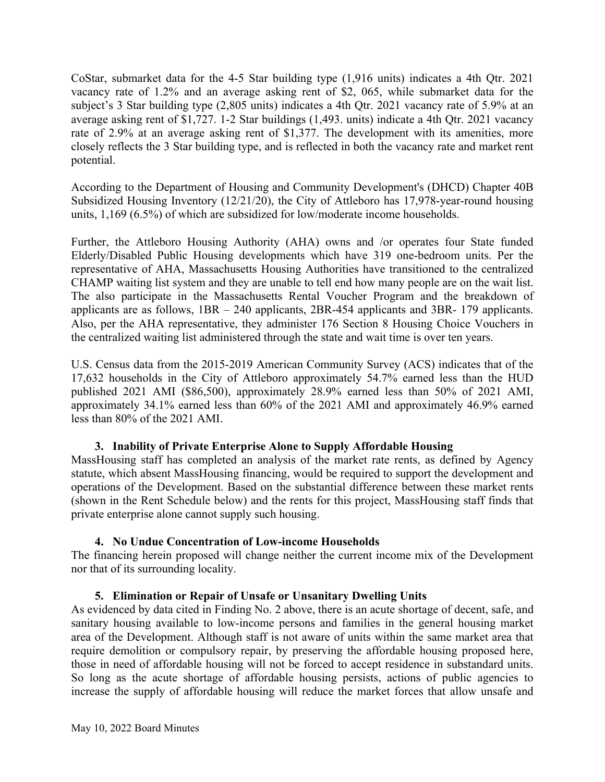CoStar, submarket data for the 4-5 Star building type (1,916 units) indicates a 4th Qtr. 2021 vacancy rate of 1.2% and an average asking rent of \$2, 065, while submarket data for the subject's 3 Star building type (2,805 units) indicates a 4th Qtr. 2021 vacancy rate of 5.9% at an average asking rent of \$1,727. 1-2 Star buildings (1,493. units) indicate a 4th Qtr. 2021 vacancy rate of 2.9% at an average asking rent of \$1,377. The development with its amenities, more closely reflects the 3 Star building type, and is reflected in both the vacancy rate and market rent potential.

According to the Department of Housing and Community Development's (DHCD) Chapter 40B Subsidized Housing Inventory (12/21/20), the City of Attleboro has 17,978-year-round housing units, 1,169 (6.5%) of which are subsidized for low/moderate income households.

Further, the Attleboro Housing Authority (AHA) owns and /or operates four State funded Elderly/Disabled Public Housing developments which have 319 one-bedroom units. Per the representative of AHA, Massachusetts Housing Authorities have transitioned to the centralized CHAMP waiting list system and they are unable to tell end how many people are on the wait list. The also participate in the Massachusetts Rental Voucher Program and the breakdown of applicants are as follows, 1BR – 240 applicants, 2BR-454 applicants and 3BR- 179 applicants. Also, per the AHA representative, they administer 176 Section 8 Housing Choice Vouchers in the centralized waiting list administered through the state and wait time is over ten years.

U.S. Census data from the 2015-2019 American Community Survey (ACS) indicates that of the 17,632 households in the City of Attleboro approximately 54.7% earned less than the HUD published 2021 AMI (\$86,500), approximately 28.9% earned less than 50% of 2021 AMI, approximately 34.1% earned less than 60% of the 2021 AMI and approximately 46.9% earned less than 80% of the 2021 AMI.

# **3. Inability of Private Enterprise Alone to Supply Affordable Housing**

MassHousing staff has completed an analysis of the market rate rents, as defined by Agency statute, which absent MassHousing financing, would be required to support the development and operations of the Development. Based on the substantial difference between these market rents (shown in the Rent Schedule below) and the rents for this project, MassHousing staff finds that private enterprise alone cannot supply such housing.

# **4. No Undue Concentration of Low-income Households**

The financing herein proposed will change neither the current income mix of the Development nor that of its surrounding locality.

# **5. Elimination or Repair of Unsafe or Unsanitary Dwelling Units**

As evidenced by data cited in Finding No. 2 above, there is an acute shortage of decent, safe, and sanitary housing available to low-income persons and families in the general housing market area of the Development. Although staff is not aware of units within the same market area that require demolition or compulsory repair, by preserving the affordable housing proposed here, those in need of affordable housing will not be forced to accept residence in substandard units. So long as the acute shortage of affordable housing persists, actions of public agencies to increase the supply of affordable housing will reduce the market forces that allow unsafe and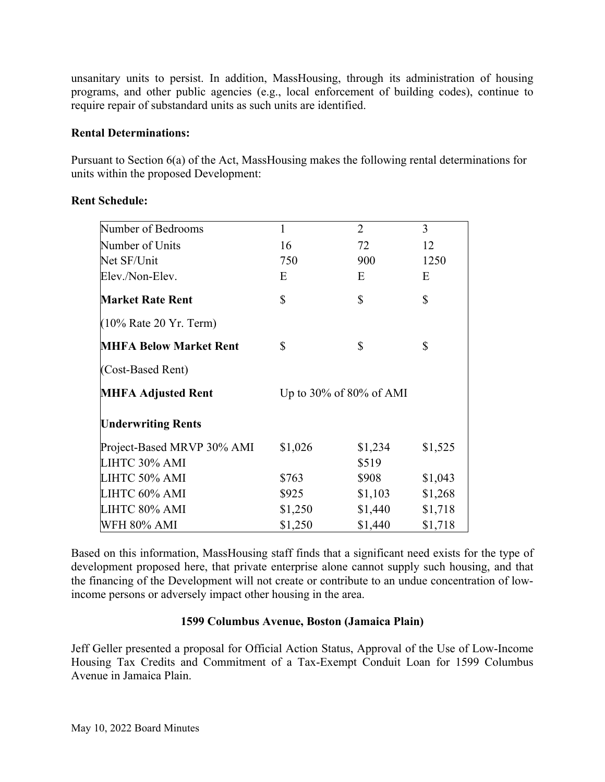unsanitary units to persist. In addition, MassHousing, through its administration of housing programs, and other public agencies (e.g., local enforcement of building codes), continue to require repair of substandard units as such units are identified.

# **Rental Determinations:**

Pursuant to Section 6(a) of the Act, MassHousing makes the following rental determinations for units within the proposed Development:

| Number of Bedrooms            | $\mathbf{1}$                  | $\overline{2}$ | 3       |
|-------------------------------|-------------------------------|----------------|---------|
| Number of Units               | 16                            | 72             | 12      |
| Net SF/Unit                   | 750                           | 900            | 1250    |
| Elev./Non-Elev.               | E                             | E              | E       |
| <b>Market Rate Rent</b>       | \$                            | \$             | \$      |
| $(10\%$ Rate 20 Yr. Term)     |                               |                |         |
| <b>MHFA Below Market Rent</b> | \$                            | \$             | \$      |
| (Cost-Based Rent)             |                               |                |         |
| <b>MHFA Adjusted Rent</b>     | Up to $30\%$ of $80\%$ of AMI |                |         |
| <b>Underwriting Rents</b>     |                               |                |         |
| Project-Based MRVP 30% AMI    | \$1,026                       | \$1,234        | \$1,525 |
| LIHTC 30% AMI                 |                               | \$519          |         |
| LIHTC 50% AMI                 | \$763                         | \$908          | \$1,043 |
| LIHTC 60% AMI                 | \$925                         | \$1,103        | \$1,268 |
| LIHTC 80% AMI                 | \$1,250                       | \$1,440        | \$1,718 |
| WFH 80% AMI                   | \$1,250                       | \$1,440        | \$1,718 |

# **Rent Schedule:**

Based on this information, MassHousing staff finds that a significant need exists for the type of development proposed here, that private enterprise alone cannot supply such housing, and that the financing of the Development will not create or contribute to an undue concentration of lowincome persons or adversely impact other housing in the area.

# **1599 Columbus Avenue, Boston (Jamaica Plain)**

Jeff Geller presented a proposal for Official Action Status, Approval of the Use of Low-Income Housing Tax Credits and Commitment of a Tax-Exempt Conduit Loan for 1599 Columbus Avenue in Jamaica Plain.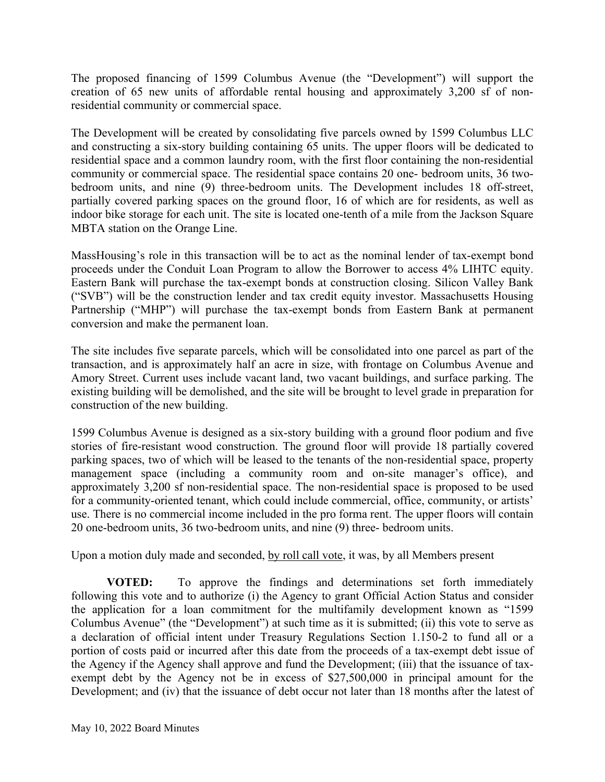The proposed financing of 1599 Columbus Avenue (the "Development") will support the creation of 65 new units of affordable rental housing and approximately 3,200 sf of nonresidential community or commercial space.

The Development will be created by consolidating five parcels owned by 1599 Columbus LLC and constructing a six-story building containing 65 units. The upper floors will be dedicated to residential space and a common laundry room, with the first floor containing the non-residential community or commercial space. The residential space contains 20 one- bedroom units, 36 twobedroom units, and nine (9) three-bedroom units. The Development includes 18 off-street, partially covered parking spaces on the ground floor, 16 of which are for residents, as well as indoor bike storage for each unit. The site is located one-tenth of a mile from the Jackson Square MBTA station on the Orange Line.

MassHousing's role in this transaction will be to act as the nominal lender of tax-exempt bond proceeds under the Conduit Loan Program to allow the Borrower to access 4% LIHTC equity. Eastern Bank will purchase the tax-exempt bonds at construction closing. Silicon Valley Bank ("SVB") will be the construction lender and tax credit equity investor. Massachusetts Housing Partnership ("MHP") will purchase the tax-exempt bonds from Eastern Bank at permanent conversion and make the permanent loan.

The site includes five separate parcels, which will be consolidated into one parcel as part of the transaction, and is approximately half an acre in size, with frontage on Columbus Avenue and Amory Street. Current uses include vacant land, two vacant buildings, and surface parking. The existing building will be demolished, and the site will be brought to level grade in preparation for construction of the new building.

1599 Columbus Avenue is designed as a six-story building with a ground floor podium and five stories of fire-resistant wood construction. The ground floor will provide 18 partially covered parking spaces, two of which will be leased to the tenants of the non-residential space, property management space (including a community room and on-site manager's office), and approximately 3,200 sf non-residential space. The non-residential space is proposed to be used for a community-oriented tenant, which could include commercial, office, community, or artists' use. There is no commercial income included in the pro forma rent. The upper floors will contain 20 one-bedroom units, 36 two-bedroom units, and nine (9) three- bedroom units.

Upon a motion duly made and seconded, by roll call vote, it was, by all Members present

**VOTED:** To approve the findings and determinations set forth immediately following this vote and to authorize (i) the Agency to grant Official Action Status and consider the application for a loan commitment for the multifamily development known as "1599 Columbus Avenue" (the "Development") at such time as it is submitted; (ii) this vote to serve as a declaration of official intent under Treasury Regulations Section 1.150-2 to fund all or a portion of costs paid or incurred after this date from the proceeds of a tax-exempt debt issue of the Agency if the Agency shall approve and fund the Development; (iii) that the issuance of taxexempt debt by the Agency not be in excess of \$27,500,000 in principal amount for the Development; and (iv) that the issuance of debt occur not later than 18 months after the latest of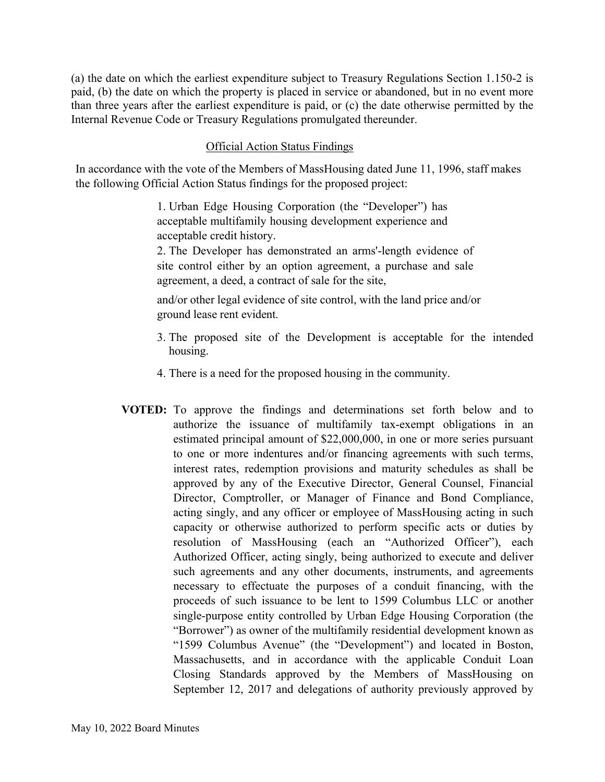(a) the date on which the earliest expenditure subject to Treasury Regulations Section 1.150-2 is paid, (b) the date on which the property is placed in service or abandoned, but in no event more than three years after the earliest expenditure is paid, or (c) the date otherwise permitted by the Internal Revenue Code or Treasury Regulations promulgated thereunder.

# Official Action Status Findings

In accordance with the vote of the Members of MassHousing dated June 11, 1996, staff makes the following Official Action Status findings for the proposed project:

> 1. Urban Edge Housing Corporation (the "Developer") has acceptable multifamily housing development experience and acceptable credit history.

2. The Developer has demonstrated an arms'-length evidence of site control either by an option agreement, a purchase and sale agreement, a deed, a contract of sale for the site,

and/or other legal evidence of site control, with the land price and/or ground lease rent evident.

- 3. The proposed site of the Development is acceptable for the intended housing.
- 4. There is a need for the proposed housing in the community.
- **VOTED:** To approve the findings and determinations set forth below and to authorize the issuance of multifamily tax-exempt obligations in an estimated principal amount of \$22,000,000, in one or more series pursuant to one or more indentures and/or financing agreements with such terms, interest rates, redemption provisions and maturity schedules as shall be approved by any of the Executive Director, General Counsel, Financial Director, Comptroller, or Manager of Finance and Bond Compliance, acting singly, and any officer or employee of MassHousing acting in such capacity or otherwise authorized to perform specific acts or duties by resolution of MassHousing (each an "Authorized Officer"), each Authorized Officer, acting singly, being authorized to execute and deliver such agreements and any other documents, instruments, and agreements necessary to effectuate the purposes of a conduit financing, with the proceeds of such issuance to be lent to 1599 Columbus LLC or another single-purpose entity controlled by Urban Edge Housing Corporation (the "Borrower") as owner of the multifamily residential development known as "1599 Columbus Avenue" (the "Development") and located in Boston, Massachusetts, and in accordance with the applicable Conduit Loan Closing Standards approved by the Members of MassHousing on September 12, 2017 and delegations of authority previously approved by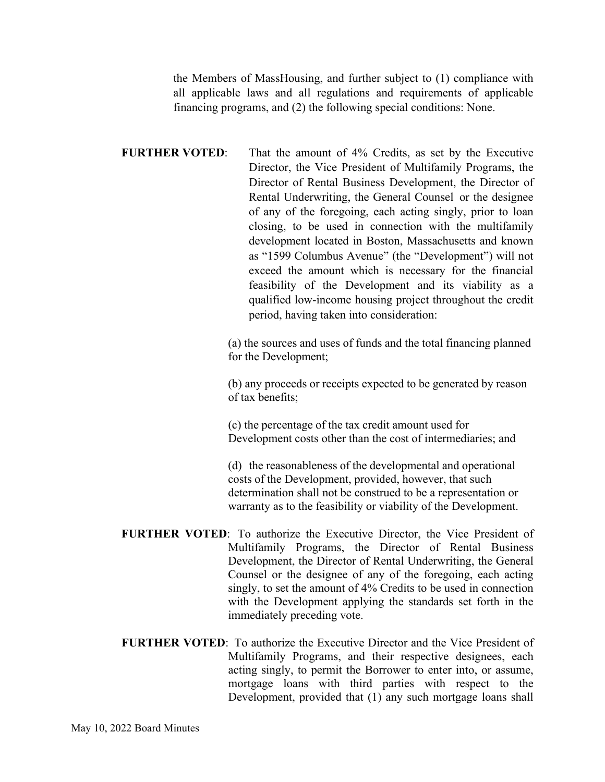the Members of MassHousing, and further subject to (1) compliance with all applicable laws and all regulations and requirements of applicable financing programs, and (2) the following special conditions: None.

**FURTHER VOTED:** That the amount of 4% Credits, as set by the Executive Director, the Vice President of Multifamily Programs, the Director of Rental Business Development, the Director of Rental Underwriting, the General Counsel or the designee of any of the foregoing, each acting singly, prior to loan closing, to be used in connection with the multifamily development located in Boston, Massachusetts and known as "1599 Columbus Avenue" (the "Development") will not exceed the amount which is necessary for the financial feasibility of the Development and its viability as a qualified low-income housing project throughout the credit period, having taken into consideration:

> (a) the sources and uses of funds and the total financing planned for the Development;

(b) any proceeds or receipts expected to be generated by reason of tax benefits;

(c) the percentage of the tax credit amount used for Development costs other than the cost of intermediaries; and

(d) the reasonableness of the developmental and operational costs of the Development, provided, however, that such determination shall not be construed to be a representation or warranty as to the feasibility or viability of the Development.

- **FURTHER VOTED**: To authorize the Executive Director, the Vice President of Multifamily Programs, the Director of Rental Business Development, the Director of Rental Underwriting, the General Counsel or the designee of any of the foregoing, each acting singly, to set the amount of 4% Credits to be used in connection with the Development applying the standards set forth in the immediately preceding vote.
- **FURTHER VOTED**: To authorize the Executive Director and the Vice President of Multifamily Programs, and their respective designees, each acting singly, to permit the Borrower to enter into, or assume, mortgage loans with third parties with respect to the Development, provided that (1) any such mortgage loans shall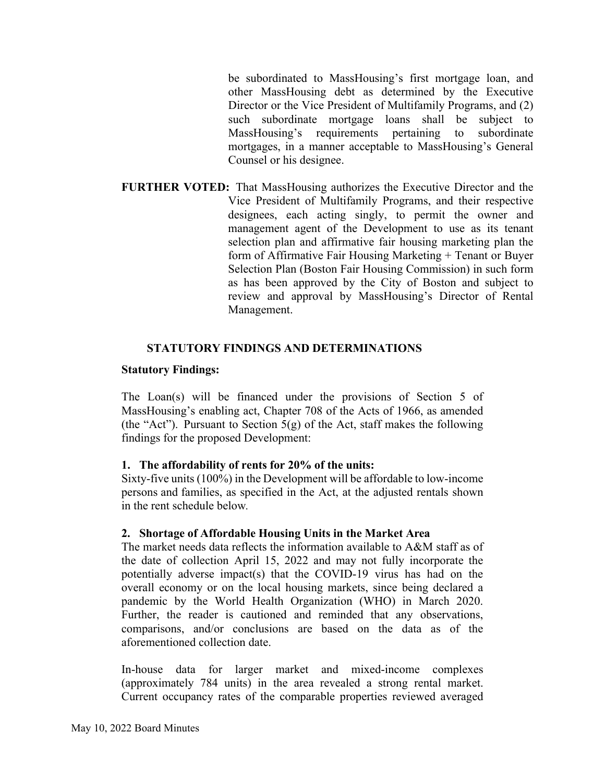be subordinated to MassHousing's first mortgage loan, and other MassHousing debt as determined by the Executive Director or the Vice President of Multifamily Programs, and (2) such subordinate mortgage loans shall be subject to MassHousing's requirements pertaining to subordinate mortgages, in a manner acceptable to MassHousing's General Counsel or his designee.

**FURTHER VOTED:** That MassHousing authorizes the Executive Director and the Vice President of Multifamily Programs, and their respective designees, each acting singly, to permit the owner and management agent of the Development to use as its tenant selection plan and affirmative fair housing marketing plan the form of Affirmative Fair Housing Marketing + Tenant or Buyer Selection Plan (Boston Fair Housing Commission) in such form as has been approved by the City of Boston and subject to review and approval by MassHousing's Director of Rental Management.

# **STATUTORY FINDINGS AND DETERMINATIONS**

## **Statutory Findings:**

The Loan(s) will be financed under the provisions of Section 5 of MassHousing's enabling act, Chapter 708 of the Acts of 1966, as amended (the "Act"). Pursuant to Section  $5(g)$  of the Act, staff makes the following findings for the proposed Development:

# **1. The affordability of rents for 20% of the units:**

Sixty-five units (100%) in the Development will be affordable to low-income persons and families, as specified in the Act, at the adjusted rentals shown in the rent schedule below*.* 

#### **2. Shortage of Affordable Housing Units in the Market Area**

The market needs data reflects the information available to A&M staff as of the date of collection April 15, 2022 and may not fully incorporate the potentially adverse impact(s) that the COVID-19 virus has had on the overall economy or on the local housing markets, since being declared a pandemic by the World Health Organization (WHO) in March 2020. Further, the reader is cautioned and reminded that any observations, comparisons, and/or conclusions are based on the data as of the aforementioned collection date.

In-house data for larger market and mixed-income complexes (approximately 784 units) in the area revealed a strong rental market. Current occupancy rates of the comparable properties reviewed averaged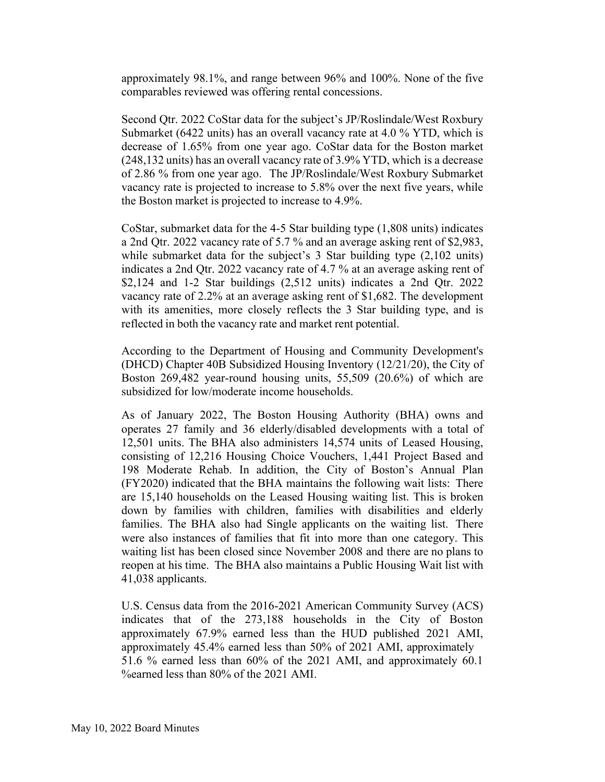approximately 98.1%, and range between 96% and 100%. None of the five comparables reviewed was offering rental concessions.

Second Qtr. 2022 CoStar data for the subject's JP/Roslindale/West Roxbury Submarket (6422 units) has an overall vacancy rate at 4.0 % YTD, which is decrease of 1.65% from one year ago. CoStar data for the Boston market (248,132 units) has an overall vacancy rate of 3.9% YTD, which is a decrease of 2.86 % from one year ago. The JP/Roslindale/West Roxbury Submarket vacancy rate is projected to increase to 5.8% over the next five years, while the Boston market is projected to increase to 4.9%.

CoStar, submarket data for the 4-5 Star building type (1,808 units) indicates a 2nd Qtr. 2022 vacancy rate of 5.7 % and an average asking rent of \$2,983, while submarket data for the subject's 3 Star building type  $(2,102 \text{ units})$ indicates a 2nd Qtr. 2022 vacancy rate of 4.7 % at an average asking rent of \$2,124 and 1-2 Star buildings (2,512 units) indicates a 2nd Qtr. 2022 vacancy rate of 2.2% at an average asking rent of \$1,682. The development with its amenities, more closely reflects the 3 Star building type, and is reflected in both the vacancy rate and market rent potential.

According to the Department of Housing and Community Development's (DHCD) Chapter 40B Subsidized Housing Inventory (12/21/20), the City of Boston 269,482 year-round housing units, 55,509 (20.6%) of which are subsidized for low/moderate income households.

As of January 2022, The Boston Housing Authority (BHA) owns and operates 27 family and 36 elderly/disabled developments with a total of 12,501 units. The BHA also administers 14,574 units of Leased Housing, consisting of 12,216 Housing Choice Vouchers, 1,441 Project Based and 198 Moderate Rehab. In addition, the City of Boston's Annual Plan (FY2020) indicated that the BHA maintains the following wait lists: There are 15,140 households on the Leased Housing waiting list. This is broken down by families with children, families with disabilities and elderly families. The BHA also had Single applicants on the waiting list. There were also instances of families that fit into more than one category. This waiting list has been closed since November 2008 and there are no plans to reopen at his time. The BHA also maintains a Public Housing Wait list with 41,038 applicants.

U.S. Census data from the 2016-2021 American Community Survey (ACS) indicates that of the 273,188 households in the City of Boston approximately 67.9% earned less than the HUD published 2021 AMI, approximately 45.4% earned less than 50% of 2021 AMI, approximately 51.6 % earned less than 60% of the 2021 AMI, and approximately 60.1 %earned less than 80% of the 2021 AMI.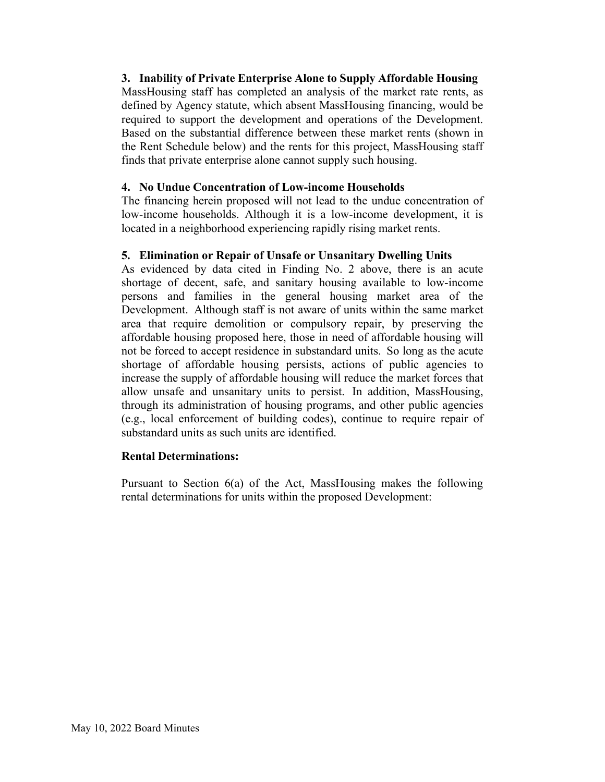# **3. Inability of Private Enterprise Alone to Supply Affordable Housing**

MassHousing staff has completed an analysis of the market rate rents, as defined by Agency statute, which absent MassHousing financing, would be required to support the development and operations of the Development. Based on the substantial difference between these market rents (shown in the Rent Schedule below) and the rents for this project, MassHousing staff finds that private enterprise alone cannot supply such housing.

#### **4. No Undue Concentration of Low-income Households**

The financing herein proposed will not lead to the undue concentration of low-income households. Although it is a low-income development, it is located in a neighborhood experiencing rapidly rising market rents.

## **5. Elimination or Repair of Unsafe or Unsanitary Dwelling Units**

As evidenced by data cited in Finding No. 2 above, there is an acute shortage of decent, safe, and sanitary housing available to low-income persons and families in the general housing market area of the Development. Although staff is not aware of units within the same market area that require demolition or compulsory repair, by preserving the affordable housing proposed here, those in need of affordable housing will not be forced to accept residence in substandard units. So long as the acute shortage of affordable housing persists, actions of public agencies to increase the supply of affordable housing will reduce the market forces that allow unsafe and unsanitary units to persist. In addition, MassHousing, through its administration of housing programs, and other public agencies (e.g., local enforcement of building codes), continue to require repair of substandard units as such units are identified.

#### **Rental Determinations:**

Pursuant to Section 6(a) of the Act, MassHousing makes the following rental determinations for units within the proposed Development: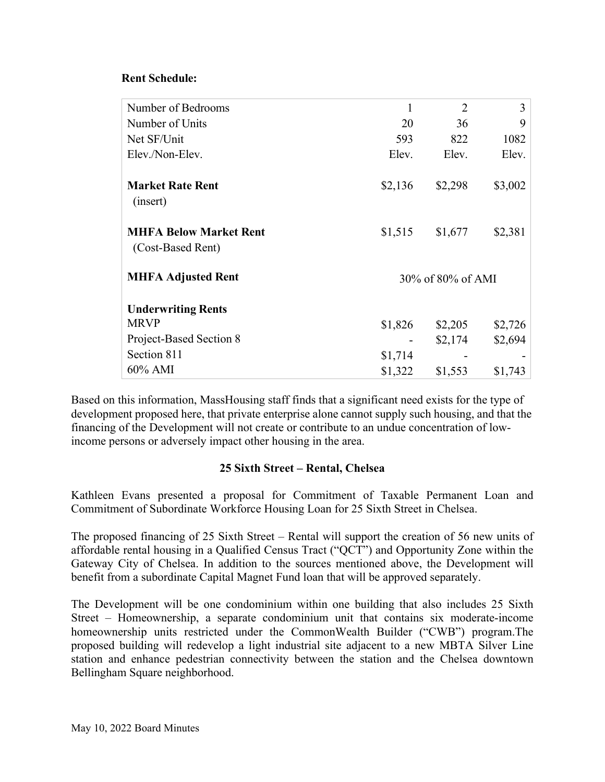## **Rent Schedule:**

| Number of Bedrooms            | 1                 | $\overline{2}$ | 3       |
|-------------------------------|-------------------|----------------|---------|
| Number of Units               | 20                | 36             | 9       |
| Net SF/Unit                   | 593               | 822            | 1082    |
| Elev./Non-Elev.               | Elev.             | Elev.          | Elev.   |
|                               |                   |                |         |
| <b>Market Rate Rent</b>       | \$2,136           | \$2,298        | \$3,002 |
| (insert)                      |                   |                |         |
|                               |                   |                |         |
| <b>MHFA Below Market Rent</b> | \$1,515           | \$1,677        | \$2,381 |
| (Cost-Based Rent)             |                   |                |         |
| <b>MHFA Adjusted Rent</b>     | 30% of 80% of AMI |                |         |
| <b>Underwriting Rents</b>     |                   |                |         |
| <b>MRVP</b>                   | \$1,826           | \$2,205        | \$2,726 |
| Project-Based Section 8       |                   | \$2,174        | \$2,694 |
| Section 811                   | \$1,714           |                |         |
| 60% AMI                       | \$1,322           | \$1,553        | \$1,743 |

Based on this information, MassHousing staff finds that a significant need exists for the type of development proposed here, that private enterprise alone cannot supply such housing, and that the financing of the Development will not create or contribute to an undue concentration of lowincome persons or adversely impact other housing in the area.

# **25 Sixth Street – Rental, Chelsea**

Kathleen Evans presented a proposal for Commitment of Taxable Permanent Loan and Commitment of Subordinate Workforce Housing Loan for 25 Sixth Street in Chelsea.

The proposed financing of 25 Sixth Street – Rental will support the creation of 56 new units of affordable rental housing in a Qualified Census Tract ("QCT") and Opportunity Zone within the Gateway City of Chelsea. In addition to the sources mentioned above, the Development will benefit from a subordinate Capital Magnet Fund loan that will be approved separately.

The Development will be one condominium within one building that also includes 25 Sixth Street – Homeownership, a separate condominium unit that contains six moderate-income homeownership units restricted under the CommonWealth Builder ("CWB") program.The proposed building will redevelop a light industrial site adjacent to a new MBTA Silver Line station and enhance pedestrian connectivity between the station and the Chelsea downtown Bellingham Square neighborhood.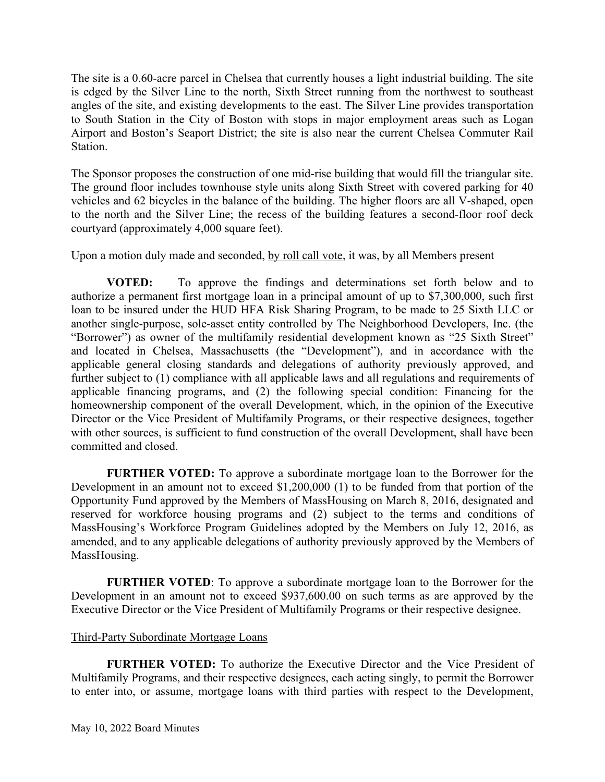The site is a 0.60-acre parcel in Chelsea that currently houses a light industrial building. The site is edged by the Silver Line to the north, Sixth Street running from the northwest to southeast angles of the site, and existing developments to the east. The Silver Line provides transportation to South Station in the City of Boston with stops in major employment areas such as Logan Airport and Boston's Seaport District; the site is also near the current Chelsea Commuter Rail Station.

The Sponsor proposes the construction of one mid-rise building that would fill the triangular site. The ground floor includes townhouse style units along Sixth Street with covered parking for 40 vehicles and 62 bicycles in the balance of the building. The higher floors are all V-shaped, open to the north and the Silver Line; the recess of the building features a second-floor roof deck courtyard (approximately 4,000 square feet).

Upon a motion duly made and seconded, by roll call vote, it was, by all Members present

**VOTED:** To approve the findings and determinations set forth below and to authorize a permanent first mortgage loan in a principal amount of up to \$7,300,000, such first loan to be insured under the HUD HFA Risk Sharing Program, to be made to 25 Sixth LLC or another single-purpose, sole-asset entity controlled by The Neighborhood Developers, Inc. (the "Borrower") as owner of the multifamily residential development known as "25 Sixth Street" and located in Chelsea, Massachusetts (the "Development"), and in accordance with the applicable general closing standards and delegations of authority previously approved, and further subject to (1) compliance with all applicable laws and all regulations and requirements of applicable financing programs, and (2) the following special condition: Financing for the homeownership component of the overall Development, which, in the opinion of the Executive Director or the Vice President of Multifamily Programs, or their respective designees, together with other sources, is sufficient to fund construction of the overall Development, shall have been committed and closed.

**FURTHER VOTED:** To approve a subordinate mortgage loan to the Borrower for the Development in an amount not to exceed \$1,200,000 (1) to be funded from that portion of the Opportunity Fund approved by the Members of MassHousing on March 8, 2016, designated and reserved for workforce housing programs and (2) subject to the terms and conditions of MassHousing's Workforce Program Guidelines adopted by the Members on July 12, 2016, as amended, and to any applicable delegations of authority previously approved by the Members of MassHousing.

**FURTHER VOTED**: To approve a subordinate mortgage loan to the Borrower for the Development in an amount not to exceed \$937,600.00 on such terms as are approved by the Executive Director or the Vice President of Multifamily Programs or their respective designee.

# Third-Party Subordinate Mortgage Loans

**FURTHER VOTED:** To authorize the Executive Director and the Vice President of Multifamily Programs, and their respective designees, each acting singly, to permit the Borrower to enter into, or assume, mortgage loans with third parties with respect to the Development,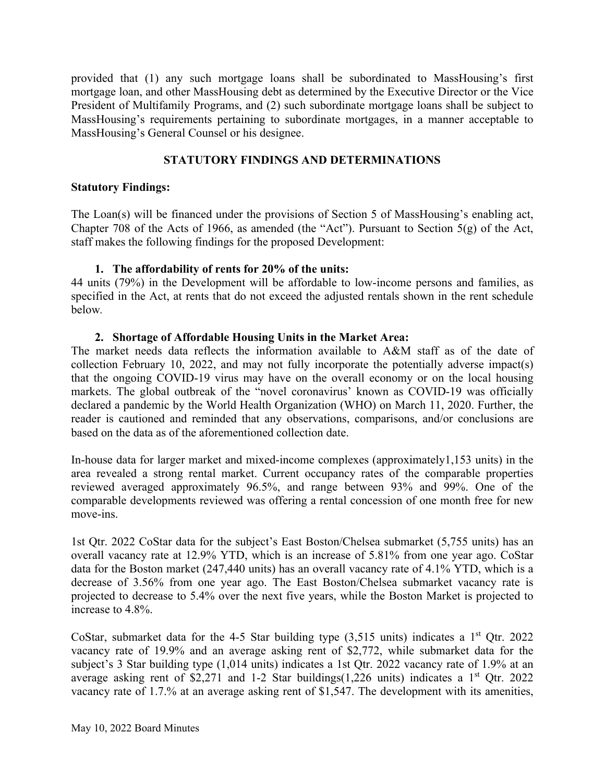provided that (1) any such mortgage loans shall be subordinated to MassHousing's first mortgage loan, and other MassHousing debt as determined by the Executive Director or the Vice President of Multifamily Programs, and (2) such subordinate mortgage loans shall be subject to MassHousing's requirements pertaining to subordinate mortgages, in a manner acceptable to MassHousing's General Counsel or his designee.

# **STATUTORY FINDINGS AND DETERMINATIONS**

## **Statutory Findings:**

The Loan(s) will be financed under the provisions of Section 5 of MassHousing's enabling act, Chapter 708 of the Acts of 1966, as amended (the "Act"). Pursuant to Section 5(g) of the Act, staff makes the following findings for the proposed Development:

## **1. The affordability of rents for 20% of the units:**

44 units (79%) in the Development will be affordable to low-income persons and families, as specified in the Act, at rents that do not exceed the adjusted rentals shown in the rent schedule below*.* 

## **2. Shortage of Affordable Housing Units in the Market Area:**

The market needs data reflects the information available to A&M staff as of the date of collection February 10, 2022, and may not fully incorporate the potentially adverse impact(s) that the ongoing COVID-19 virus may have on the overall economy or on the local housing markets. The global outbreak of the "novel coronavirus' known as COVID-19 was officially declared a pandemic by the World Health Organization (WHO) on March 11, 2020. Further, the reader is cautioned and reminded that any observations, comparisons, and/or conclusions are based on the data as of the aforementioned collection date.

In-house data for larger market and mixed-income complexes (approximately1,153 units) in the area revealed a strong rental market. Current occupancy rates of the comparable properties reviewed averaged approximately 96.5%, and range between 93% and 99%. One of the comparable developments reviewed was offering a rental concession of one month free for new move-ins.

1st Qtr. 2022 CoStar data for the subject's East Boston/Chelsea submarket (5,755 units) has an overall vacancy rate at 12.9% YTD, which is an increase of 5.81% from one year ago. CoStar data for the Boston market (247,440 units) has an overall vacancy rate of 4.1% YTD, which is a decrease of 3.56% from one year ago. The East Boston/Chelsea submarket vacancy rate is projected to decrease to 5.4% over the next five years, while the Boston Market is projected to increase to 4.8%.

CoStar, submarket data for the 4-5 Star building type  $(3,515)$  units) indicates a 1<sup>st</sup> Qtr. 2022 vacancy rate of 19.9% and an average asking rent of \$2,772, while submarket data for the subject's 3 Star building type (1,014 units) indicates a 1st Qtr. 2022 vacancy rate of 1.9% at an average asking rent of \$2,271 and 1-2 Star buildings(1,226 units) indicates a  $1<sup>st</sup>$  Qtr. 2022 vacancy rate of 1.7.% at an average asking rent of \$1,547. The development with its amenities,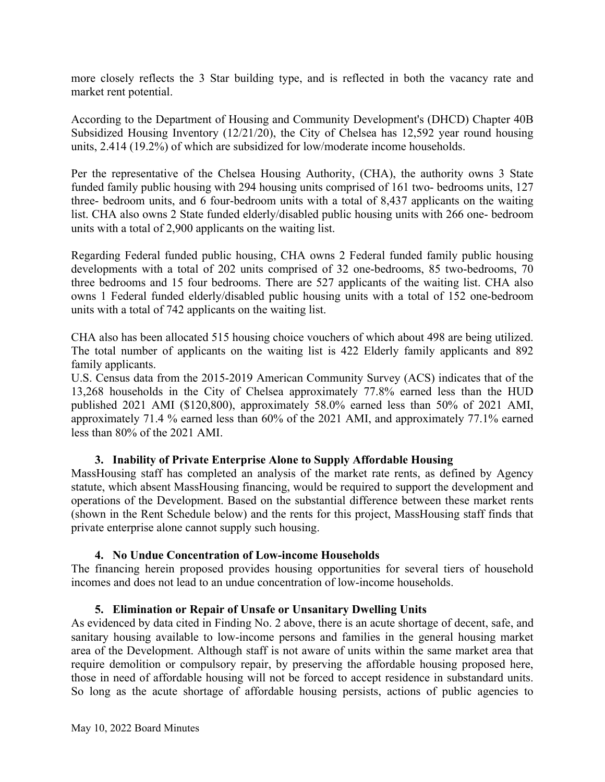more closely reflects the 3 Star building type, and is reflected in both the vacancy rate and market rent potential.

According to the Department of Housing and Community Development's (DHCD) Chapter 40B Subsidized Housing Inventory (12/21/20), the City of Chelsea has 12,592 year round housing units, 2.414 (19.2%) of which are subsidized for low/moderate income households.

Per the representative of the Chelsea Housing Authority, (CHA), the authority owns 3 State funded family public housing with 294 housing units comprised of 161 two- bedrooms units, 127 three- bedroom units, and 6 four-bedroom units with a total of 8,437 applicants on the waiting list. CHA also owns 2 State funded elderly/disabled public housing units with 266 one- bedroom units with a total of 2,900 applicants on the waiting list.

Regarding Federal funded public housing, CHA owns 2 Federal funded family public housing developments with a total of 202 units comprised of 32 one-bedrooms, 85 two-bedrooms, 70 three bedrooms and 15 four bedrooms. There are 527 applicants of the waiting list. CHA also owns 1 Federal funded elderly/disabled public housing units with a total of 152 one-bedroom units with a total of 742 applicants on the waiting list.

CHA also has been allocated 515 housing choice vouchers of which about 498 are being utilized. The total number of applicants on the waiting list is 422 Elderly family applicants and 892 family applicants.

U.S. Census data from the 2015-2019 American Community Survey (ACS) indicates that of the 13,268 households in the City of Chelsea approximately 77.8% earned less than the HUD published 2021 AMI (\$120,800), approximately 58.0% earned less than 50% of 2021 AMI, approximately 71.4 % earned less than 60% of the 2021 AMI, and approximately 77.1% earned less than 80% of the 2021 AMI.

# **3. Inability of Private Enterprise Alone to Supply Affordable Housing**

MassHousing staff has completed an analysis of the market rate rents, as defined by Agency statute, which absent MassHousing financing, would be required to support the development and operations of the Development. Based on the substantial difference between these market rents (shown in the Rent Schedule below) and the rents for this project, MassHousing staff finds that private enterprise alone cannot supply such housing.

#### **4. No Undue Concentration of Low-income Households**

The financing herein proposed provides housing opportunities for several tiers of household incomes and does not lead to an undue concentration of low-income households.

#### **5. Elimination or Repair of Unsafe or Unsanitary Dwelling Units**

As evidenced by data cited in Finding No. 2 above, there is an acute shortage of decent, safe, and sanitary housing available to low-income persons and families in the general housing market area of the Development. Although staff is not aware of units within the same market area that require demolition or compulsory repair, by preserving the affordable housing proposed here, those in need of affordable housing will not be forced to accept residence in substandard units. So long as the acute shortage of affordable housing persists, actions of public agencies to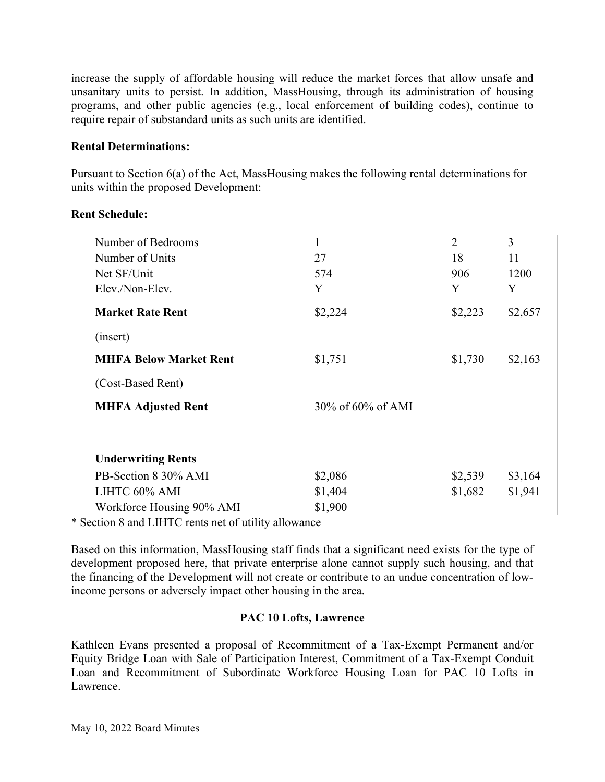increase the supply of affordable housing will reduce the market forces that allow unsafe and unsanitary units to persist. In addition, MassHousing, through its administration of housing programs, and other public agencies (e.g., local enforcement of building codes), continue to require repair of substandard units as such units are identified.

## **Rental Determinations:**

Pursuant to Section 6(a) of the Act, MassHousing makes the following rental determinations for units within the proposed Development:

| Number of Bedrooms            | $\mathbf{1}$      | $\overline{2}$ | 3       |
|-------------------------------|-------------------|----------------|---------|
| Number of Units               | 27                | 18             | 11      |
| Net SF/Unit                   | 574               | 906            | 1200    |
| Elev./Non-Elev.               | Y                 | Y              | Y       |
| <b>Market Rate Rent</b>       | \$2,224           | \$2,223        | \$2,657 |
| (inset)                       |                   |                |         |
| <b>MHFA Below Market Rent</b> | \$1,751           | \$1,730        | \$2,163 |
| (Cost-Based Rent)             |                   |                |         |
| <b>MHFA Adjusted Rent</b>     | 30% of 60% of AMI |                |         |
|                               |                   |                |         |
| <b>Underwriting Rents</b>     |                   |                |         |
| PB-Section 8 30% AMI          | \$2,086           | \$2,539        | \$3,164 |
| LIHTC 60% AMI                 | \$1,404           | \$1,682        | \$1,941 |
| Workforce Housing 90% AMI     | \$1,900           |                |         |

#### **Rent Schedule:**

\* Section 8 and LIHTC rents net of utility allowance

Based on this information, MassHousing staff finds that a significant need exists for the type of development proposed here, that private enterprise alone cannot supply such housing, and that the financing of the Development will not create or contribute to an undue concentration of lowincome persons or adversely impact other housing in the area.

#### **PAC 10 Lofts, Lawrence**

Kathleen Evans presented a proposal of Recommitment of a Tax-Exempt Permanent and/or Equity Bridge Loan with Sale of Participation Interest, Commitment of a Tax-Exempt Conduit Loan and Recommitment of Subordinate Workforce Housing Loan for PAC 10 Lofts in Lawrence.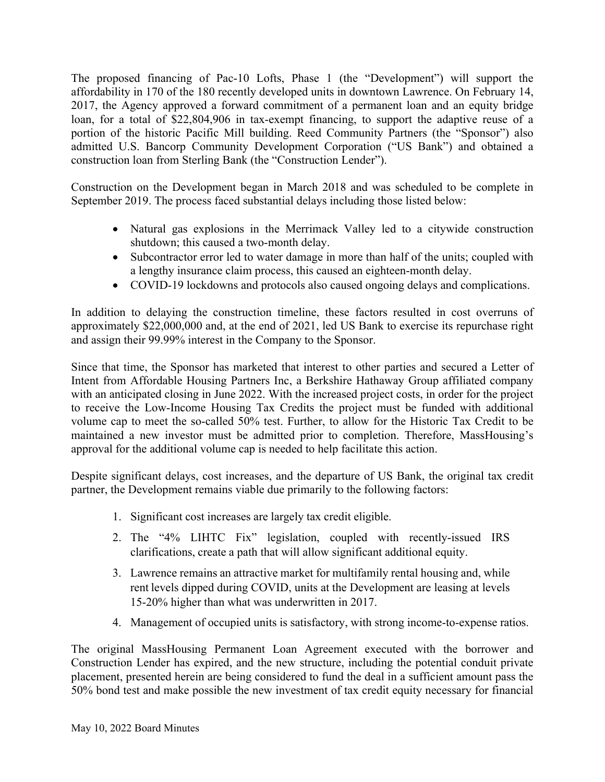The proposed financing of Pac-10 Lofts, Phase 1 (the "Development") will support the affordability in 170 of the 180 recently developed units in downtown Lawrence. On February 14, 2017, the Agency approved a forward commitment of a permanent loan and an equity bridge loan, for a total of \$22,804,906 in tax-exempt financing, to support the adaptive reuse of a portion of the historic Pacific Mill building. Reed Community Partners (the "Sponsor") also admitted U.S. Bancorp Community Development Corporation ("US Bank") and obtained a construction loan from Sterling Bank (the "Construction Lender").

Construction on the Development began in March 2018 and was scheduled to be complete in September 2019. The process faced substantial delays including those listed below:

- Natural gas explosions in the Merrimack Valley led to a citywide construction shutdown; this caused a two-month delay.
- Subcontractor error led to water damage in more than half of the units; coupled with a lengthy insurance claim process, this caused an eighteen-month delay.
- COVID-19 lockdowns and protocols also caused ongoing delays and complications.

In addition to delaying the construction timeline, these factors resulted in cost overruns of approximately \$22,000,000 and, at the end of 2021, led US Bank to exercise its repurchase right and assign their 99.99% interest in the Company to the Sponsor.

Since that time, the Sponsor has marketed that interest to other parties and secured a Letter of Intent from Affordable Housing Partners Inc, a Berkshire Hathaway Group affiliated company with an anticipated closing in June 2022. With the increased project costs, in order for the project to receive the Low-Income Housing Tax Credits the project must be funded with additional volume cap to meet the so-called 50% test. Further, to allow for the Historic Tax Credit to be maintained a new investor must be admitted prior to completion. Therefore, MassHousing's approval for the additional volume cap is needed to help facilitate this action.

Despite significant delays, cost increases, and the departure of US Bank, the original tax credit partner, the Development remains viable due primarily to the following factors:

- 1. Significant cost increases are largely tax credit eligible.
- 2. The "4% LIHTC Fix" legislation, coupled with recently-issued IRS clarifications, create a path that will allow significant additional equity.
- 3. Lawrence remains an attractive market for multifamily rental housing and, while rent levels dipped during COVID, units at the Development are leasing at levels 15-20% higher than what was underwritten in 2017.
- 4. Management of occupied units is satisfactory, with strong income-to-expense ratios.

The original MassHousing Permanent Loan Agreement executed with the borrower and Construction Lender has expired, and the new structure, including the potential conduit private placement, presented herein are being considered to fund the deal in a sufficient amount pass the 50% bond test and make possible the new investment of tax credit equity necessary for financial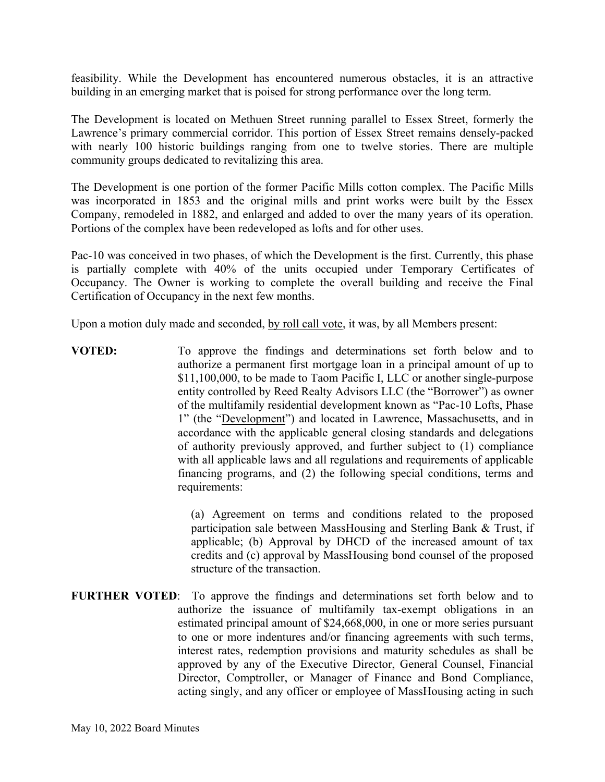feasibility. While the Development has encountered numerous obstacles, it is an attractive building in an emerging market that is poised for strong performance over the long term.

The Development is located on Methuen Street running parallel to Essex Street, formerly the Lawrence's primary commercial corridor. This portion of Essex Street remains densely-packed with nearly 100 historic buildings ranging from one to twelve stories. There are multiple community groups dedicated to revitalizing this area.

The Development is one portion of the former Pacific Mills cotton complex. The Pacific Mills was incorporated in 1853 and the original mills and print works were built by the Essex Company, remodeled in 1882, and enlarged and added to over the many years of its operation. Portions of the complex have been redeveloped as lofts and for other uses.

Pac-10 was conceived in two phases, of which the Development is the first. Currently, this phase is partially complete with 40% of the units occupied under Temporary Certificates of Occupancy. The Owner is working to complete the overall building and receive the Final Certification of Occupancy in the next few months.

Upon a motion duly made and seconded, by roll call vote, it was, by all Members present:

**VOTED:** To approve the findings and determinations set forth below and to authorize a permanent first mortgage loan in a principal amount of up to \$11,100,000, to be made to Taom Pacific I, LLC or another single-purpose entity controlled by Reed Realty Advisors LLC (the "Borrower") as owner of the multifamily residential development known as "Pac-10 Lofts, Phase 1" (the "Development") and located in Lawrence, Massachusetts, and in accordance with the applicable general closing standards and delegations of authority previously approved, and further subject to (1) compliance with all applicable laws and all regulations and requirements of applicable financing programs, and (2) the following special conditions, terms and requirements:

> (a) Agreement on terms and conditions related to the proposed participation sale between MassHousing and Sterling Bank & Trust, if applicable; (b) Approval by DHCD of the increased amount of tax credits and (c) approval by MassHousing bond counsel of the proposed structure of the transaction.

**FURTHER VOTED**:To approve the findings and determinations set forth below and to authorize the issuance of multifamily tax-exempt obligations in an estimated principal amount of \$24,668,000, in one or more series pursuant to one or more indentures and/or financing agreements with such terms, interest rates, redemption provisions and maturity schedules as shall be approved by any of the Executive Director, General Counsel, Financial Director, Comptroller, or Manager of Finance and Bond Compliance, acting singly, and any officer or employee of MassHousing acting in such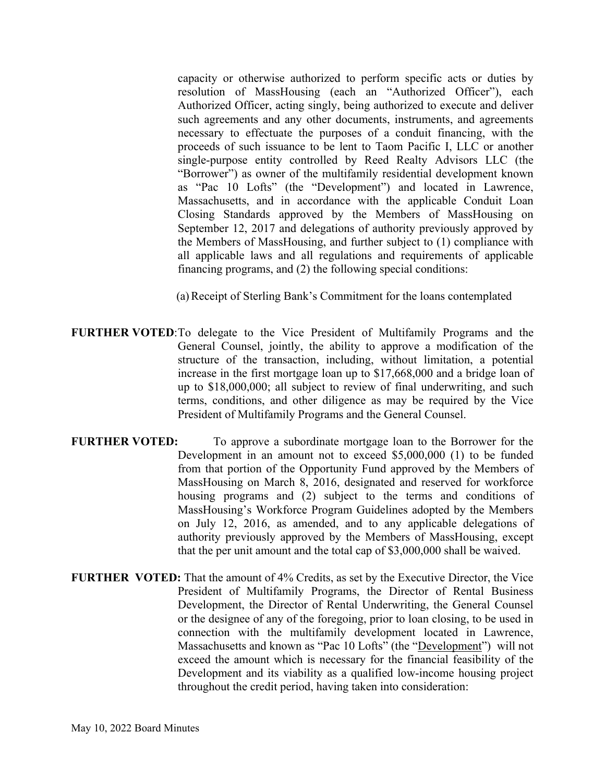capacity or otherwise authorized to perform specific acts or duties by resolution of MassHousing (each an "Authorized Officer"), each Authorized Officer, acting singly, being authorized to execute and deliver such agreements and any other documents, instruments, and agreements necessary to effectuate the purposes of a conduit financing, with the proceeds of such issuance to be lent to Taom Pacific I, LLC or another single-purpose entity controlled by Reed Realty Advisors LLC (the "Borrower") as owner of the multifamily residential development known as "Pac 10 Lofts" (the "Development") and located in Lawrence, Massachusetts, and in accordance with the applicable Conduit Loan Closing Standards approved by the Members of MassHousing on September 12, 2017 and delegations of authority previously approved by the Members of MassHousing, and further subject to (1) compliance with all applicable laws and all regulations and requirements of applicable financing programs, and (2) the following special conditions:

(a)Receipt of Sterling Bank's Commitment for the loans contemplated

- **FURTHER VOTED:** To delegate to the Vice President of Multifamily Programs and the General Counsel, jointly, the ability to approve a modification of the structure of the transaction, including, without limitation, a potential increase in the first mortgage loan up to \$17,668,000 and a bridge loan of up to \$18,000,000; all subject to review of final underwriting, and such terms, conditions, and other diligence as may be required by the Vice President of Multifamily Programs and the General Counsel.
- **FURTHER VOTED:** To approve a subordinate mortgage loan to the Borrower for the Development in an amount not to exceed \$5,000,000 (1) to be funded from that portion of the Opportunity Fund approved by the Members of MassHousing on March 8, 2016, designated and reserved for workforce housing programs and (2) subject to the terms and conditions of MassHousing's Workforce Program Guidelines adopted by the Members on July 12, 2016, as amended, and to any applicable delegations of authority previously approved by the Members of MassHousing, except that the per unit amount and the total cap of \$3,000,000 shall be waived.
- **FURTHER VOTED:** That the amount of 4% Credits, as set by the Executive Director, the Vice President of Multifamily Programs, the Director of Rental Business Development, the Director of Rental Underwriting, the General Counsel or the designee of any of the foregoing, prior to loan closing, to be used in connection with the multifamily development located in Lawrence, Massachusetts and known as "Pac 10 Lofts" (the "Development") will not exceed the amount which is necessary for the financial feasibility of the Development and its viability as a qualified low-income housing project throughout the credit period, having taken into consideration: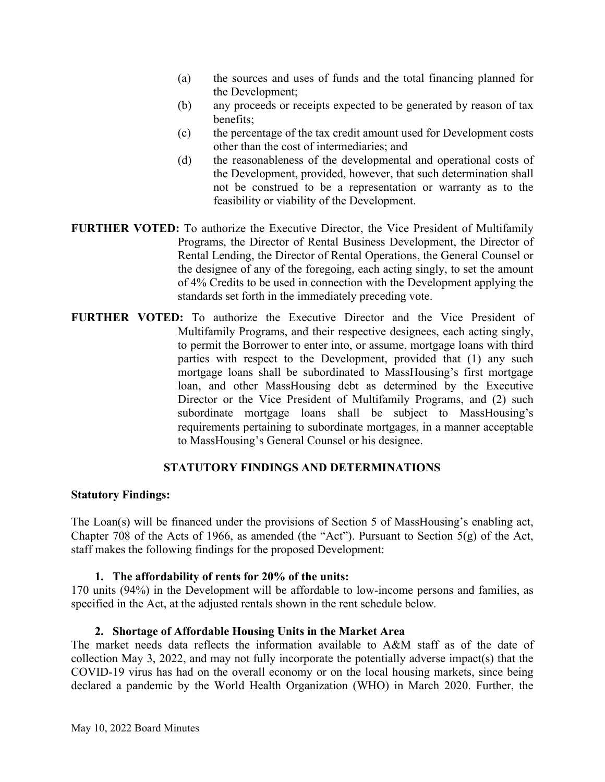- (a) the sources and uses of funds and the total financing planned for the Development;
- (b) any proceeds or receipts expected to be generated by reason of tax benefits;
- (c) the percentage of the tax credit amount used for Development costs other than the cost of intermediaries; and
- (d) the reasonableness of the developmental and operational costs of the Development, provided, however, that such determination shall not be construed to be a representation or warranty as to the feasibility or viability of the Development.
- **FURTHER VOTED:** To authorize the Executive Director, the Vice President of Multifamily Programs, the Director of Rental Business Development, the Director of Rental Lending, the Director of Rental Operations, the General Counsel or the designee of any of the foregoing, each acting singly, to set the amount of 4% Credits to be used in connection with the Development applying the standards set forth in the immediately preceding vote.
- **FURTHER VOTED:** To authorize the Executive Director and the Vice President of Multifamily Programs, and their respective designees, each acting singly, to permit the Borrower to enter into, or assume, mortgage loans with third parties with respect to the Development, provided that (1) any such mortgage loans shall be subordinated to MassHousing's first mortgage loan, and other MassHousing debt as determined by the Executive Director or the Vice President of Multifamily Programs, and (2) such subordinate mortgage loans shall be subject to MassHousing's requirements pertaining to subordinate mortgages, in a manner acceptable to MassHousing's General Counsel or his designee.

# **STATUTORY FINDINGS AND DETERMINATIONS**

# **Statutory Findings:**

The Loan(s) will be financed under the provisions of Section 5 of MassHousing's enabling act, Chapter 708 of the Acts of 1966, as amended (the "Act"). Pursuant to Section 5(g) of the Act, staff makes the following findings for the proposed Development:

# **1. The affordability of rents for 20% of the units:**

170 units (94%) in the Development will be affordable to low-income persons and families, as specified in the Act, at the adjusted rentals shown in the rent schedule below*.* 

# **2. Shortage of Affordable Housing Units in the Market Area**

The market needs data reflects the information available to A&M staff as of the date of collection May 3, 2022, and may not fully incorporate the potentially adverse impact(s) that the COVID-19 virus has had on the overall economy or on the local housing markets, since being declared a pandemic by the World Health Organization (WHO) in March 2020. Further, the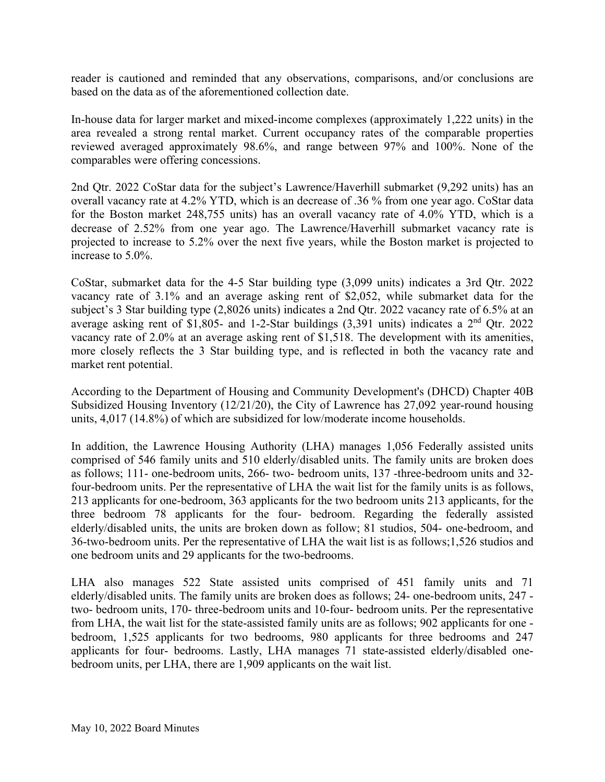reader is cautioned and reminded that any observations, comparisons, and/or conclusions are based on the data as of the aforementioned collection date.

In-house data for larger market and mixed-income complexes (approximately 1,222 units) in the area revealed a strong rental market. Current occupancy rates of the comparable properties reviewed averaged approximately 98.6%, and range between 97% and 100%. None of the comparables were offering concessions.

2nd Qtr. 2022 CoStar data for the subject's Lawrence/Haverhill submarket (9,292 units) has an overall vacancy rate at 4.2% YTD, which is an decrease of .36 % from one year ago. CoStar data for the Boston market 248,755 units) has an overall vacancy rate of 4.0% YTD, which is a decrease of 2.52% from one year ago. The Lawrence/Haverhill submarket vacancy rate is projected to increase to 5.2% over the next five years, while the Boston market is projected to increase to 5.0%.

CoStar, submarket data for the 4-5 Star building type (3,099 units) indicates a 3rd Qtr. 2022 vacancy rate of 3.1% and an average asking rent of \$2,052, while submarket data for the subject's 3 Star building type (2,8026 units) indicates a 2nd Qtr. 2022 vacancy rate of 6.5% at an average asking rent of \$1,805- and 1-2-Star buildings (3,391 units) indicates a 2nd Qtr. 2022 vacancy rate of 2.0% at an average asking rent of \$1,518. The development with its amenities, more closely reflects the 3 Star building type, and is reflected in both the vacancy rate and market rent potential.

According to the Department of Housing and Community Development's (DHCD) Chapter 40B Subsidized Housing Inventory (12/21/20), the City of Lawrence has 27,092 year-round housing units, 4,017 (14.8%) of which are subsidized for low/moderate income households.

In addition, the Lawrence Housing Authority (LHA) manages 1,056 Federally assisted units comprised of 546 family units and 510 elderly/disabled units. The family units are broken does as follows; 111- one-bedroom units, 266- two- bedroom units, 137 -three-bedroom units and 32 four-bedroom units. Per the representative of LHA the wait list for the family units is as follows, 213 applicants for one-bedroom, 363 applicants for the two bedroom units 213 applicants, for the three bedroom 78 applicants for the four- bedroom. Regarding the federally assisted elderly/disabled units, the units are broken down as follow; 81 studios, 504- one-bedroom, and 36-two-bedroom units. Per the representative of LHA the wait list is as follows;1,526 studios and one bedroom units and 29 applicants for the two-bedrooms.

LHA also manages 522 State assisted units comprised of 451 family units and 71 elderly/disabled units. The family units are broken does as follows; 24- one-bedroom units, 247 two- bedroom units, 170- three-bedroom units and 10-four- bedroom units. Per the representative from LHA, the wait list for the state-assisted family units are as follows; 902 applicants for one bedroom, 1,525 applicants for two bedrooms, 980 applicants for three bedrooms and 247 applicants for four- bedrooms. Lastly, LHA manages 71 state-assisted elderly/disabled onebedroom units, per LHA, there are 1,909 applicants on the wait list.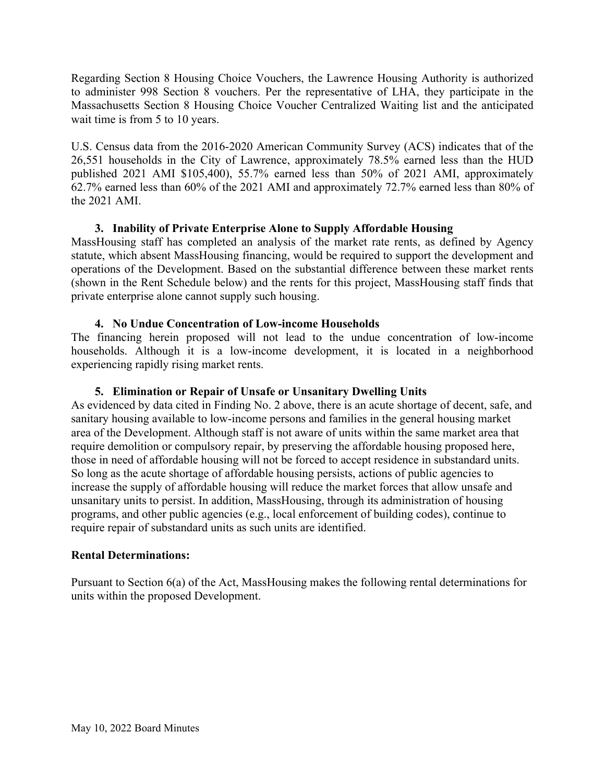Regarding Section 8 Housing Choice Vouchers, the Lawrence Housing Authority is authorized to administer 998 Section 8 vouchers. Per the representative of LHA, they participate in the Massachusetts Section 8 Housing Choice Voucher Centralized Waiting list and the anticipated wait time is from 5 to 10 years.

U.S. Census data from the 2016-2020 American Community Survey (ACS) indicates that of the 26,551 households in the City of Lawrence, approximately 78.5% earned less than the HUD published 2021 AMI \$105,400), 55.7% earned less than 50% of 2021 AMI, approximately 62.7% earned less than 60% of the 2021 AMI and approximately 72.7% earned less than 80% of the 2021 AMI.

# **3. Inability of Private Enterprise Alone to Supply Affordable Housing**

MassHousing staff has completed an analysis of the market rate rents, as defined by Agency statute, which absent MassHousing financing, would be required to support the development and operations of the Development. Based on the substantial difference between these market rents (shown in the Rent Schedule below) and the rents for this project, MassHousing staff finds that private enterprise alone cannot supply such housing.

# **4. No Undue Concentration of Low-income Households**

The financing herein proposed will not lead to the undue concentration of low-income households. Although it is a low-income development, it is located in a neighborhood experiencing rapidly rising market rents.

# **5. Elimination or Repair of Unsafe or Unsanitary Dwelling Units**

As evidenced by data cited in Finding No. 2 above, there is an acute shortage of decent, safe, and sanitary housing available to low-income persons and families in the general housing market area of the Development. Although staff is not aware of units within the same market area that require demolition or compulsory repair, by preserving the affordable housing proposed here, those in need of affordable housing will not be forced to accept residence in substandard units. So long as the acute shortage of affordable housing persists, actions of public agencies to increase the supply of affordable housing will reduce the market forces that allow unsafe and unsanitary units to persist. In addition, MassHousing, through its administration of housing programs, and other public agencies (e.g., local enforcement of building codes), continue to require repair of substandard units as such units are identified.

# **Rental Determinations:**

Pursuant to Section 6(a) of the Act, MassHousing makes the following rental determinations for units within the proposed Development.